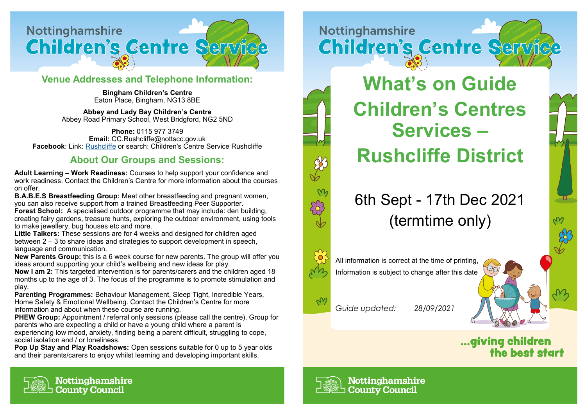

## **Venue Addresses and Telephone Information:**

**Bingham Children's Centre**  Eaton Place, Bingham, NG13 8BE

**Abbey and Lady Bay Children's Centre**  Abbey Road Primary School, West Bridgford, NG2 5ND

**Phone:** 0115 977 3749 **Email:** CC.Rushcliffe@nottscc.gov.uk **Facebook**: Link: [Rushcliffe](https://www.facebook.com/ChildrensCentreServiceRushcliffe) or search: Children's Centre Service Rushcliffe

## **About Our Groups and Sessions:**

**Adult Learning – Work Readiness:** Courses to help support your confidence and work readiness. Contact the Children's Centre for more information about the courses on offer.

**B.A.B.E.S Breastfeeding Group:** Meet other breastfeeding and pregnant women, you can also receive support from a trained Breastfeeding Peer Supporter.

**Forest School:** A specialised outdoor programme that may include: den building, creating fairy gardens, treasure hunts, exploring the outdoor environment, using tools to make jewellery, bug houses etc and more.

**Little Talkers:** These sessions are for 4 weeks and designed for children aged between 2 – 3 to share ideas and strategies to support development in speech, language and communication.

**New Parents Group:** this is a 6 week course for new parents. The group will offer you ideas around supporting your child's wellbeing and new ideas for play.

**Now I am 2:** This targeted intervention is for parents/carers and the children aged 18 months up to the age of 3. The focus of the programme is to promote stimulation and play.

**Parenting Programmes:** Behaviour Management, Sleep Tight, Incredible Years, Home Safety & Emotional Wellbeing. Contact the Children's Centre for more information and about when these course are running.

**PHEW Group:** Appointment / referral only sessions (please call the centre). Group for parents who are expecting a child or have a young child where a parent is experiencing low mood, anxiety, finding being a parent difficult, struggling to cope, social isolation and / or loneliness.

**Pop Up Stay and Play Roadshows:** Open sessions suitable for 0 up to 5 year olds and their parents/carers to enjoy whilst learning and developing important skills.





## 6th Sept - 17th Dec 2021 (termtime only)



All information is correct at the time of printing, Information is subject to change after this date



*Guide updated: 28/09/2021*